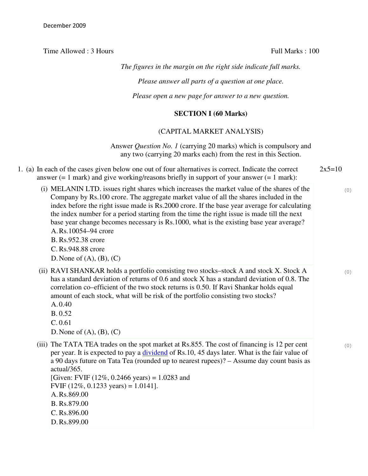Time Allowed : 3 Hours Full Marks : 100

*The figures in the margin on the right side indicate full marks.*

*Please answer all parts of a question at one place.*

*Please open a new page for answer to a new question.*

## **SECTION I (60 Marks)**

## (CAPITAL MARKET ANALYSIS)

Answer *Question No. 1* (carrying 20 marks) which is compulsory and any two (carrying 20 marks each) from the rest in this Section.

- 1. (a) In each of the cases given below one out of four alternatives is correct. Indicate the correct answer  $(= 1 \text{ mark})$  and give working/reasons briefly in support of your answer  $(= 1 \text{ mark})$ :  $2x5=10$ 
	- (i) MELANIN LTD. issues right shares which increases the market value of the shares of the Company by Rs.100 crore. The aggregate market value of all the shares included in the index before the right issue made is Rs.2000 crore. If the base year average for calculating the index number for a period starting from the time the right issue is made till the next base year change becomes necessary is Rs.1000, what is the existing base year average? A.Rs.10054–94 crore B. Rs.952.38 crore C. Rs.948.88 crore D. None of  $(A)$ ,  $(B)$ ,  $(C)$
	- (ii) RAVI SHANKAR holds a portfolio consisting two stocks–stock A and stock X. Stock A has a standard deviation of returns of 0.6 and stock X has a standard deviation of 0.8. The correlation co–efficient of the two stock returns is 0.50. If Ravi Shankar holds equal amount of each stock, what will be risk of the portfolio consisting two stocks? A. 0.40
		- B. 0.52
		- C. 0.61

D. None of  $(A)$ ,  $(B)$ ,  $(C)$ 

(iii) The TATA TEA trades on the spot market at Rs.855. The cost of financing is 12 per cent per year. It is expected to pay a *dividend* of Rs.10, 45 days later. What is the fair value of a 90 days future on Tata Tea (rounded up to nearest rupees)? – Assume day count basis as actual/365.

[Given: FVIF  $(12\%, 0.2466 \text{ years}) = 1.0283$  and FVIF (12%, 0.1233 years) = 1.0141]. A.Rs.869.00 B. Rs.879.00 C. Rs.896.00 D.Rs.899.00

(0)

(0)

(0)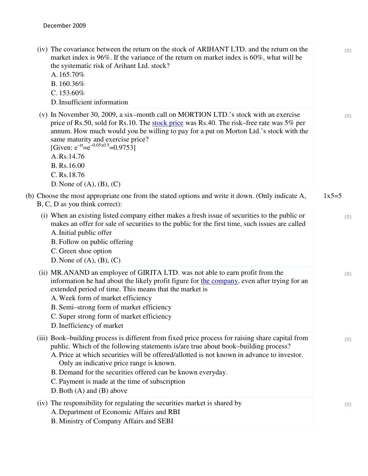| (iv) The covariance between the return on the stock of ARIHANT LTD. and the return on the<br>market index is 96%. If the variance of the return on market index is 60%, what will be<br>the systematic risk of Arihant Ltd. stock?<br>A.165.70%<br>B. 160.36%<br>C. $153.60\%$<br>D. Insufficient information                                                                                                                                                                      | (0)     |
|------------------------------------------------------------------------------------------------------------------------------------------------------------------------------------------------------------------------------------------------------------------------------------------------------------------------------------------------------------------------------------------------------------------------------------------------------------------------------------|---------|
| (v) In November 30, 2009, a six-month call on MORTION LTD.'s stock with an exercise<br>price of Rs.50, sold for Rs.10. The stock price was Rs.40. The risk–free rate was 5% per<br>annum. How much would you be willing to pay for a put on Morton Ltd.'s stock with the<br>same maturity and exercise price?<br>[Given: $e^{-rt} = e^{-0.05 \times 0.5} = 0.9753$ ]<br>A.Rs.14.76<br>B. Rs.16.00<br>C. Rs. 18.76<br>D. None of $(A)$ , $(B)$ , $(C)$                              | (0)     |
| (b) Choose the most appropriate one from the stated options and write it down. (Only indicate A,<br>B, C, D as you think correct):                                                                                                                                                                                                                                                                                                                                                 | $1x5=5$ |
| (i) When an existing listed company either makes a fresh issue of securities to the public or<br>makes an offer for sale of securities to the public for the first time, such issues are called<br>A. Initial public offer<br>B. Follow on public offering<br>C. Green shoe option<br>D. None of $(A)$ , $(B)$ , $(C)$                                                                                                                                                             | (0)     |
| (ii) MR.ANAND an employee of GIRITA LTD. was not able to earn profit from the<br>information he had about the likely profit figure for the company, even after trying for an<br>extended period of time. This means that the market is<br>A. Week form of market efficiency<br>B. Semi-strong form of market efficiency<br>C. Super strong form of market efficiency<br>D. Inefficiency of market                                                                                  | (0)     |
| (iii) Book-building process is different from fixed price process for raising share capital from<br>public. Which of the following statements is/are true about book-building process?<br>A. Price at which securities will be offered/allotted is not known in advance to investor.<br>Only an indicative price range is known.<br>B. Demand for the securities offered can be known everyday.<br>C. Payment is made at the time of subscription<br>D. Both $(A)$ and $(B)$ above | (0)     |
| (iv) The responsibility for regulating the securities market is shared by<br>A. Department of Economic Affairs and RBI<br>B. Ministry of Company Affairs and SEBI                                                                                                                                                                                                                                                                                                                  | (0)     |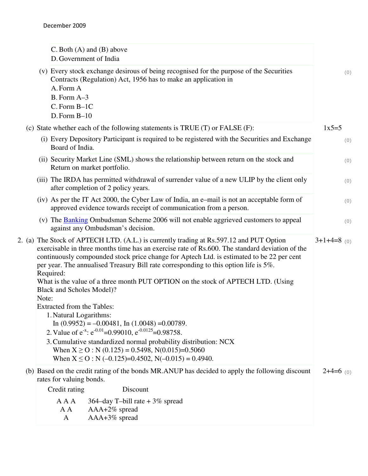|                                                                                                                                                                                                                                                                                                                                                                                                              | C. Both $(A)$ and $(B)$ above<br>D. Government of India      |               |                                                                                                                                                                    |  |             |  |
|--------------------------------------------------------------------------------------------------------------------------------------------------------------------------------------------------------------------------------------------------------------------------------------------------------------------------------------------------------------------------------------------------------------|--------------------------------------------------------------|---------------|--------------------------------------------------------------------------------------------------------------------------------------------------------------------|--|-------------|--|
|                                                                                                                                                                                                                                                                                                                                                                                                              | A. Form A<br>B. Form A-3<br>C. Form B-1C<br>$D.$ Form $B-10$ |               | (v) Every stock exchange desirous of being recognised for the purpose of the Securities<br>Contracts (Regulation) Act, 1956 has to make an application in          |  | (0)         |  |
|                                                                                                                                                                                                                                                                                                                                                                                                              |                                                              |               | (c) State whether each of the following statements is TRUE (T) or FALSE (F):                                                                                       |  | $1x5=5$     |  |
| (i) Every Depository Participant is required to be registered with the Securities and Exchange<br>Board of India.                                                                                                                                                                                                                                                                                            |                                                              |               |                                                                                                                                                                    |  |             |  |
| (ii) Security Market Line (SML) shows the relationship between return on the stock and<br>Return on market portfolio.                                                                                                                                                                                                                                                                                        |                                                              |               |                                                                                                                                                                    |  | (0)         |  |
|                                                                                                                                                                                                                                                                                                                                                                                                              | after completion of 2 policy years.                          |               | (iii) The IRDA has permitted withdrawal of surrender value of a new ULIP by the client only                                                                        |  | (0)         |  |
|                                                                                                                                                                                                                                                                                                                                                                                                              |                                                              |               | $(iv)$ As per the IT Act 2000, the Cyber Law of India, an e-mail is not an acceptable form of<br>approved evidence towards receipt of communication from a person. |  | (0)         |  |
|                                                                                                                                                                                                                                                                                                                                                                                                              | against any Ombudsman's decision.                            |               | (v) The Banking Ombudsman Scheme 2006 will not enable aggrieved customers to appeal                                                                                |  | (0)         |  |
| 2. (a) The Stock of APTECH LTD. (A.L.) is currently trading at Rs.597.12 and PUT Option<br>$3+1+4=8$ (0)<br>exercisable in three months time has an exercise rate of Rs.600. The standard deviation of the<br>continuously compounded stock price change for Aptech Ltd. is estimated to be 22 per cent<br>per year. The annualised Treasury Bill rate corresponding to this option life is 5%.<br>Required: |                                                              |               |                                                                                                                                                                    |  |             |  |
| What is the value of a three month PUT OPTION on the stock of APTECH LTD. (Using<br>Black and Scholes Model)?<br>Note:                                                                                                                                                                                                                                                                                       |                                                              |               |                                                                                                                                                                    |  |             |  |
| <b>Extracted from the Tables:</b><br>1. Natural Logarithms:<br>In $(0.9952) = -0.00481$ , In $(1.0048) = 0.00789$ .<br>2. Value of $e^{-x}$ : $e^{-0.01}$ =0.99010, $e^{-0.0125}$ =0.98758.<br>3. Cumulative standardized normal probability distribution: NCX<br>When $X \ge 0$ : N (0.125) = 0.5498, N(0.015)=0.5060                                                                                       |                                                              |               |                                                                                                                                                                    |  |             |  |
|                                                                                                                                                                                                                                                                                                                                                                                                              |                                                              |               | When $X \le 0$ : N (-0.125)=0.4502, N(-0.015) = 0.4940.                                                                                                            |  | $2+4=6$ (0) |  |
| (b) Based on the credit rating of the bonds MR.ANUP has decided to apply the following discount<br>rates for valuing bonds.                                                                                                                                                                                                                                                                                  |                                                              |               |                                                                                                                                                                    |  |             |  |
|                                                                                                                                                                                                                                                                                                                                                                                                              | Credit rating                                                |               | Discount                                                                                                                                                           |  |             |  |
|                                                                                                                                                                                                                                                                                                                                                                                                              | A A A<br>A A                                                 | AAA+2% spread | 364–day T–bill rate $+3\%$ spread                                                                                                                                  |  |             |  |

A AAA+3% spread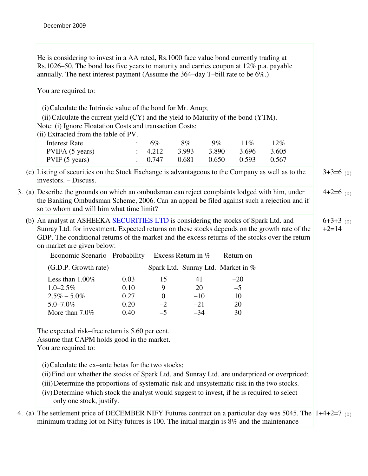He is considering to invest in a AA rated, Rs.1000 face value bond currently trading at Rs.1026–50. The bond has five years to maturity and carries coupon at 12% p.a. payable annually. The next interest payment (Assume the 364–day T–bill rate to be 6%.)

You are required to:

(i)Calculate the Intrinsic value of the bond for Mr. Anup;

 $(iii)$ Calculate the current yield  $(CY)$  and the yield to Maturity of the bond  $(YTM)$ .

Note: (i) Ignore Floatation Costs and transaction Costs;

(ii) Extracted from the table of PV.

| Interest Rate  | $\therefore$ 6%    | $8\%$ | $9\%$           | $11\%$ | $12\%$ |
|----------------|--------------------|-------|-----------------|--------|--------|
| PVIFA(5 years) | $\therefore$ 4.212 | 3.993 | 3.890 3.696     |        | 3.605  |
| PVIF(5 years)  | $\div$ 0.747       | 0.681 | $0.650$ $0.593$ |        | 0.567  |

(c) Listing of securities on the Stock Exchange is advantageous to the Company as well as to the investors. – Discuss.  $3+3=6$  (0)

- 3. (a) Describe the grounds on which an ombudsman can reject complaints lodged with him, under the Banking Ombudsman Scheme, 2006. Can an appeal be filed against such a rejection and if so to whom and will him what time limit?  $4+2=6$  (0)
	- (b) An analyst at ASHEEKA SECURITIES LTD is considering the stocks of Spark Ltd. and Sunray Ltd. for investment. Expected returns on these stocks depends on the growth rate of the GDP. The conditional returns of the market and the excess returns of the stocks over the return on market are given below:  $6+3+3$  (0)  $+2=14$

| Economic Scenario Probability |      | Excess Return in $%$ |        | Return on                          |
|-------------------------------|------|----------------------|--------|------------------------------------|
| (G.D.P. Growth rate)          |      |                      |        | Spark Ltd. Sunray Ltd. Market in % |
| Less than $1.00\%$            | 0.03 | 15                   | 41     | $-20$                              |
| $1.0 - 2.5\%$                 | 0.10 | 9                    | 20     | $-5$                               |
| $2.5\% - 5.0\%$               | 0.27 |                      | $-10$  | 10                                 |
| $5.0 - 7.0\%$                 | 0.20 | $-2$                 | $-2.1$ | 20                                 |
| More than $7.0\%$             | 0.40 | $-5$                 | $-34$  | 30                                 |

The expected risk–free return is 5.60 per cent. Assume that CAPM holds good in the market. You are required to:

(i)Calculate the ex–ante betas for the two stocks;

- (ii)Find out whether the stocks of Spark Ltd. and Sunray Ltd. are underpriced or overpriced;
- (iii)Determine the proportions of systematic risk and unsystematic risk in the two stocks.
- (iv)Determine which stock the analyst would suggest to invest, if he is required to select only one stock, justify.
- 4. (a) The settlement price of DECEMBER NIFY Futures contract on a particular day was 5045. The 1+4+2=7 (0) minimum trading lot on Nifty futures is 100. The initial margin is 8% and the maintenance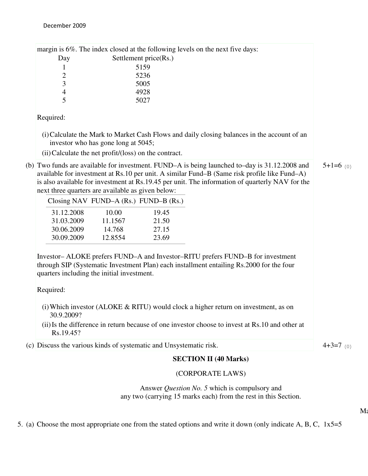|                                                                    |                                     |                                       | margin is 6%. The index closed at the following levels on the next five days:                                                                                                                                                                                                                    |             |
|--------------------------------------------------------------------|-------------------------------------|---------------------------------------|--------------------------------------------------------------------------------------------------------------------------------------------------------------------------------------------------------------------------------------------------------------------------------------------------|-------------|
| Day<br>1                                                           |                                     | Settlement price(Rs.)<br>5159         |                                                                                                                                                                                                                                                                                                  |             |
| 2                                                                  |                                     | 5236                                  |                                                                                                                                                                                                                                                                                                  |             |
| 3                                                                  |                                     | 5005                                  |                                                                                                                                                                                                                                                                                                  |             |
| $\overline{\mathcal{L}}$                                           |                                     | 4928                                  |                                                                                                                                                                                                                                                                                                  |             |
| 5                                                                  |                                     | 5027                                  |                                                                                                                                                                                                                                                                                                  |             |
| Required:                                                          |                                     |                                       |                                                                                                                                                                                                                                                                                                  |             |
|                                                                    | investor who has gone long at 5045; |                                       | (i) Calculate the Mark to Market Cash Flows and daily closing balances in the account of an                                                                                                                                                                                                      |             |
| (ii) Calculate the net profit/(loss) on the contract.              |                                     |                                       |                                                                                                                                                                                                                                                                                                  |             |
| next three quarters are available as given below:                  |                                     |                                       | (b) Two funds are available for investment. FUND–A is being launched to–day is 31.12.2008 and<br>available for investment at Rs.10 per unit. A similar Fund–B (Same risk profile like Fund–A)<br>is also available for investment at Rs.19.45 per unit. The information of quarterly NAV for the | $5+1=6$ (0) |
|                                                                    |                                     | Closing NAV FUND-A (Rs.) FUND-B (Rs.) |                                                                                                                                                                                                                                                                                                  |             |
| 31.12.2008                                                         | 10.00                               | 19.45                                 |                                                                                                                                                                                                                                                                                                  |             |
| 31.03.2009                                                         | 11.1567                             | 21.50                                 |                                                                                                                                                                                                                                                                                                  |             |
| 30.06.2009                                                         | 14.768                              | 27.15                                 |                                                                                                                                                                                                                                                                                                  |             |
| 30.09.2009                                                         | 12.8554                             | 23.69                                 |                                                                                                                                                                                                                                                                                                  |             |
| quarters including the initial investment.<br>Required:            |                                     |                                       | Investor-ALOKE prefers FUND-A and Investor-RITU prefers FUND-B for investment<br>through SIP (Systematic Investment Plan) each installment entailing Rs.2000 for the four                                                                                                                        |             |
| 30.9.2009?                                                         |                                     |                                       | (i) Which investor (ALOKE $\&$ RITU) would clock a higher return on investment, as on                                                                                                                                                                                                            |             |
| Rs.19.45?                                                          |                                     |                                       | (ii) Is the difference in return because of one investor choose to invest at Rs.10 and other at                                                                                                                                                                                                  |             |
| (c) Discuss the various kinds of systematic and Unsystematic risk. |                                     |                                       |                                                                                                                                                                                                                                                                                                  | $4+3=7$ (0) |
|                                                                    |                                     |                                       | <b>SECTION II (40 Marks)</b>                                                                                                                                                                                                                                                                     |             |
|                                                                    |                                     |                                       |                                                                                                                                                                                                                                                                                                  |             |

## (CORPORATE LAWS)

Answer *Question No. 5* which is compulsory and any two (carrying 15 marks each) from the rest in this Section.

 $M<sub>i</sub>$ 

5. (a) Choose the most appropriate one from the stated options and write it down (only indicate A, B, C, 1x5=5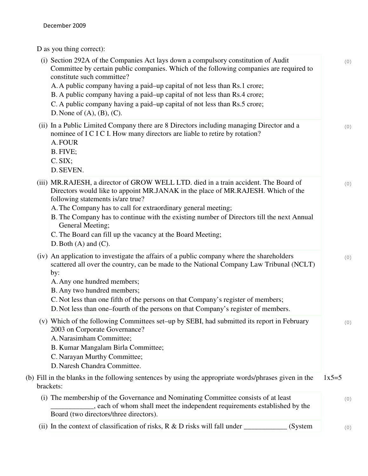D as you thing correct):

| (i) Section 292A of the Companies Act lays down a compulsory constitution of Audit<br>Committee by certain public companies. Which of the following companies are required to<br>constitute such committee?<br>A. A public company having a paid–up capital of not less than Rs.1 crore;<br>B. A public company having a paid–up capital of not less than Rs.4 crore;<br>C. A public company having a paid–up capital of not less than Rs.5 crore;<br>D. None of $(A)$ , $(B)$ , $(C)$ .   |          | (0) |
|--------------------------------------------------------------------------------------------------------------------------------------------------------------------------------------------------------------------------------------------------------------------------------------------------------------------------------------------------------------------------------------------------------------------------------------------------------------------------------------------|----------|-----|
| (ii) In a Public Limited Company there are 8 Directors including managing Director and a<br>nominee of I C I C I. How many directors are liable to retire by rotation?<br>A. FOUR<br>B. FIVE;<br>C. SIX;<br>D. SEVEN.                                                                                                                                                                                                                                                                      |          | (0) |
| (iii) MR.RAJESH, a director of GROW WELL LTD. died in a train accident. The Board of<br>Directors would like to appoint MR.JANAK in the place of MR.RAJESH. Which of the<br>following statements is/are true?<br>A. The Company has to call for extraordinary general meeting;<br>B. The Company has to continue with the existing number of Directors till the next Annual<br>General Meeting;<br>C. The Board can fill up the vacancy at the Board Meeting;<br>D. Both $(A)$ and $(C)$ . |          | (0) |
| (iv) An application to investigate the affairs of a public company where the shareholders<br>scattered all over the country, can be made to the National Company Law Tribunal (NCLT)<br>by:<br>A. Any one hundred members;<br>B. Any two hundred members;<br>C. Not less than one fifth of the persons on that Company's register of members;<br>D. Not less than one–fourth of the persons on that Company's register of members.                                                         |          | (0) |
| (v) Which of the following Committees set–up by SEBI, had submitted its report in February<br>2003 on Corporate Governance?<br>A. Narasimham Committee;<br>B. Kumar Mangalam Birla Committee;<br>C. Narayan Murthy Committee;<br>D. Naresh Chandra Committee.                                                                                                                                                                                                                              |          | (0) |
| (b) Fill in the blanks in the following sentences by using the appropriate words/phrases given in the<br>brackets:                                                                                                                                                                                                                                                                                                                                                                         | $1x5=5$  |     |
| (i) The membership of the Governance and Nominating Committee consists of at least<br>s each of whom shall meet the independent requirements established by the<br>Board (two directors/three directors).                                                                                                                                                                                                                                                                                  |          | (0) |
| (ii) In the context of classification of risks, $R \& D$ risks will fall under                                                                                                                                                                                                                                                                                                                                                                                                             | (System) | (0) |